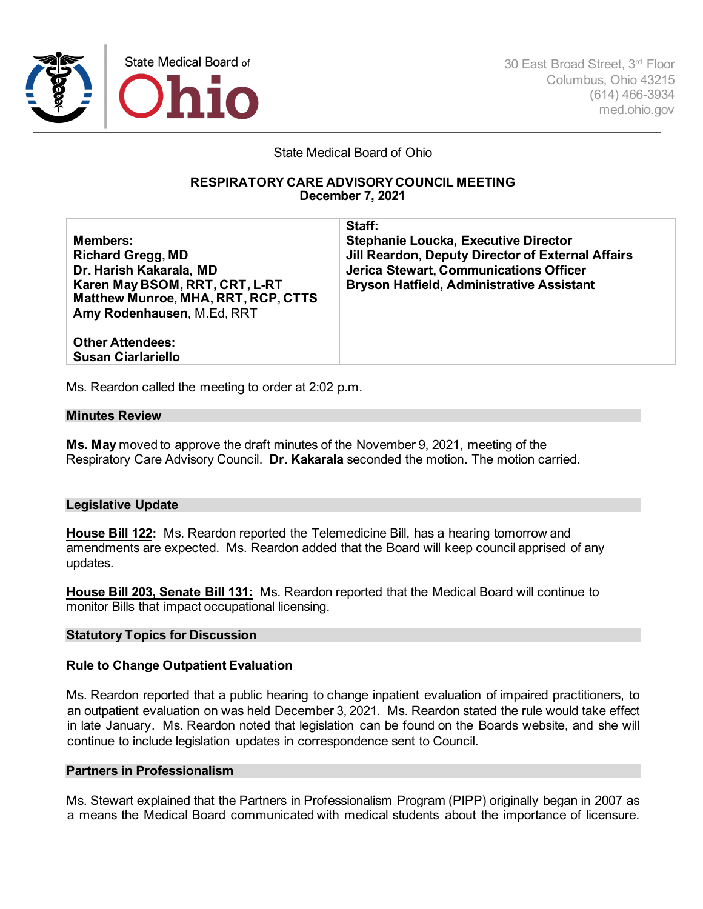

30 East Broad Street, 3rd Floor Columbus, Ohio 43215 (614) 466-3934 med.ohio.gov

State Medical Board of Ohio

## **RESPIRATORY CARE ADVISORYCOUNCIL MEETING December 7, 2021**

**Members: Richard Gregg, MD Dr. Harish Kakarala, MD Karen May BSOM, RRT, CRT, L-RT Matthew Munroe, MHA, RRT, RCP, CTTS Amy Rodenhausen**, M.Ed, RRT

**Staff: Stephanie Loucka, Executive Director Jill Reardon, Deputy Director of External Affairs Jerica Stewart, Communications Officer Bryson Hatfield, Administrative Assistant**

**Other Attendees: Susan Ciarlariello**

Ms. Reardon called the meeting to order at 2:02 p.m.

### **Minutes Review**

**Ms. May** moved to approve the draft minutes of the November 9, 2021, meeting of the Respiratory Care Advisory Council. **Dr. Kakarala** seconded the motion**.** The motion carried.

# **Legislative Update**

**House Bill 122:** Ms. Reardon reported the Telemedicine Bill, has a hearing tomorrow and amendments are expected. Ms. Reardon added that the Board will keep council apprised of any updates.

**House Bill 203, Senate Bill 131:** Ms. Reardon reported that the Medical Board will continue to monitor Bills that impact occupational licensing.

### **Statutory Topics for Discussion**

# **Rule to Change Outpatient Evaluation**

Ms. Reardon reported that a public hearing to change inpatient evaluation of impaired practitioners, to an outpatient evaluation on was held December 3, 2021. Ms. Reardon stated the rule would take effect in late January. Ms. Reardon noted that legislation can be found on the Boards website, and she will continue to include legislation updates in correspondence sent to Council.

## **Partners in Professionalism**

Ms. Stewart explained that the Partners in Professionalism Program (PIPP) originally began in 2007 as a means the Medical Board communicated with medical students about the importance of licensure.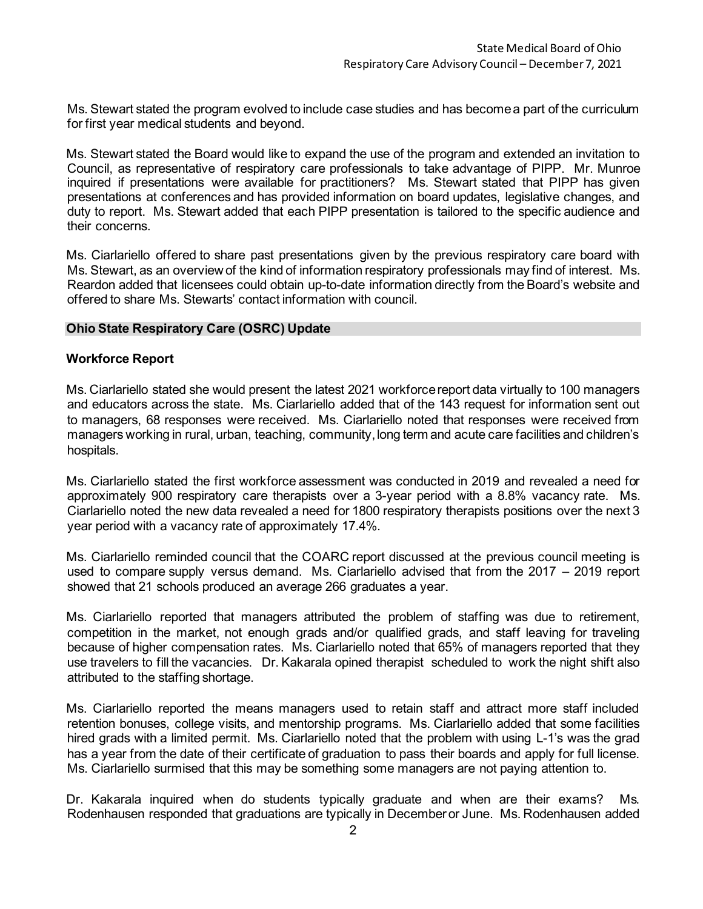Ms. Stewart stated the program evolved to include case studies and has become a part of the curriculum for first year medical students and beyond.

Ms. Stewart stated the Board would like to expand the use of the program and extended an invitation to Council, as representative of respiratory care professionals to take advantage of PIPP. Mr. Munroe inquired if presentations were available for practitioners? Ms. Stewart stated that PIPP has given presentations at conferences and has provided information on board updates, legislative changes, and duty to report. Ms. Stewart added that each PIPP presentation is tailored to the specific audience and their concerns.

Ms. Ciarlariello offered to share past presentations given by the previous respiratory care board with Ms. Stewart, as an overview of the kind of information respiratory professionals may find of interest. Ms. Reardon added that licensees could obtain up-to-date information directly from the Board's website and offered to share Ms. Stewarts' contact information with council.

## **Ohio State Respiratory Care (OSRC) Update**

## **Workforce Report**

Ms. Ciarlariello stated she would present the latest 2021 workforce report data virtually to 100 managers and educators across the state. Ms. Ciarlariello added that of the 143 request for information sent out to managers, 68 responses were received. Ms. Ciarlariello noted that responses were received from managers working in rural, urban, teaching, community, long term and acute care facilities and children's hospitals.

Ms. Ciarlariello stated the first workforce assessment was conducted in 2019 and revealed a need for approximately 900 respiratory care therapists over a 3-year period with a 8.8% vacancy rate. Ms. Ciarlariello noted the new data revealed a need for 1800 respiratory therapists positions over the next 3 year period with a vacancy rate of approximately 17.4%.

Ms. Ciarlariello reminded council that the COARC report discussed at the previous council meeting is used to compare supply versus demand. Ms. Ciarlariello advised that from the 2017 – 2019 report showed that 21 schools produced an average 266 graduates a year.

Ms. Ciarlariello reported that managers attributed the problem of staffing was due to retirement, competition in the market, not enough grads and/or qualified grads, and staff leaving for traveling because of higher compensation rates. Ms. Ciarlariello noted that 65% of managers reported that they use travelers to fill the vacancies. Dr. Kakarala opined therapist scheduled to work the night shift also attributed to the staffing shortage.

Ms. Ciarlariello reported the means managers used to retain staff and attract more staff included retention bonuses, college visits, and mentorship programs. Ms. Ciarlariello added that some facilities hired grads with a limited permit. Ms. Ciarlariello noted that the problem with using L-1's was the grad has a year from the date of their certificate of graduation to pass their boards and apply for full license. Ms. Ciarlariello surmised that this may be something some managers are not paying attention to.

Dr. Kakarala inquired when do students typically graduate and when are their exams? Ms. Rodenhausen responded that graduations are typically in December or June. Ms. Rodenhausen added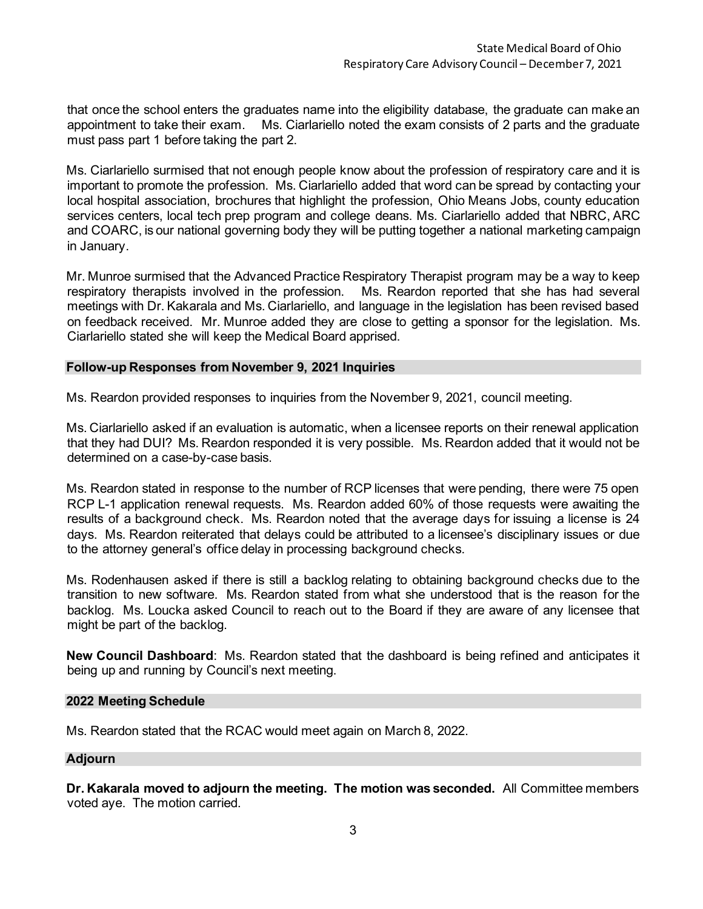that once the school enters the graduates name into the eligibility database, the graduate can make an appointment to take their exam. Ms. Ciarlariello noted the exam consists of 2 parts and the graduate must pass part 1 before taking the part 2.

Ms. Ciarlariello surmised that not enough people know about the profession of respiratory care and it is important to promote the profession. Ms. Ciarlariello added that word can be spread by contacting your local hospital association, brochures that highlight the profession, Ohio Means Jobs, county education services centers, local tech prep program and college deans. Ms. Ciarlariello added that NBRC, ARC and COARC, is our national governing body they will be putting together a national marketing campaign in January.

Mr. Munroe surmised that the Advanced Practice Respiratory Therapist program may be a way to keep respiratory therapists involved in the profession. Ms. Reardon reported that she has had several meetings with Dr. Kakarala and Ms. Ciarlariello, and language in the legislation has been revised based on feedback received. Mr. Munroe added they are close to getting a sponsor for the legislation. Ms. Ciarlariello stated she will keep the Medical Board apprised.

## **Follow-up Responses from November 9, 2021 Inquiries**

Ms. Reardon provided responses to inquiries from the November 9, 2021, council meeting.

Ms. Ciarlariello asked if an evaluation is automatic, when a licensee reports on their renewal application that they had DUI? Ms. Reardon responded it is very possible. Ms. Reardon added that it would not be determined on a case-by-case basis.

Ms. Reardon stated in response to the number of RCP licenses that were pending, there were 75 open RCP L-1 application renewal requests. Ms. Reardon added 60% of those requests were awaiting the results of a background check. Ms. Reardon noted that the average days for issuing a license is 24 days. Ms. Reardon reiterated that delays could be attributed to a licensee's disciplinary issues or due to the attorney general's office delay in processing background checks.

Ms. Rodenhausen asked if there is still a backlog relating to obtaining background checks due to the transition to new software. Ms. Reardon stated from what she understood that is the reason for the backlog. Ms. Loucka asked Council to reach out to the Board if they are aware of any licensee that might be part of the backlog.

**New Council Dashboard**: Ms. Reardon stated that the dashboard is being refined and anticipates it being up and running by Council's next meeting.

### **2022 Meeting Schedule**

Ms. Reardon stated that the RCAC would meet again on March 8, 2022.

### **Adjourn**

**Dr. Kakarala moved to adjourn the meeting. The motion was seconded.** All Committee members voted aye. The motion carried.